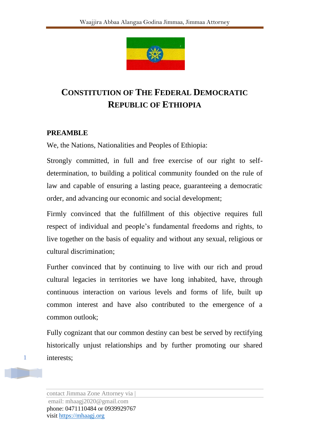

# **CONSTITUTION OF THE FEDERAL DEMOCRATIC REPUBLIC OF ETHIOPIA**

#### **PREAMBLE**

We, the Nations, Nationalities and Peoples of Ethiopia:

Strongly committed, in full and free exercise of our right to selfdetermination, to building a political community founded on the rule of law and capable of ensuring a lasting peace, guaranteeing a democratic order, and advancing our economic and social development;

Firmly convinced that the fulfillment of this objective requires full respect of individual and people's fundamental freedoms and rights, to live together on the basis of equality and without any sexual, religious or cultural discrimination;

Further convinced that by continuing to live with our rich and proud cultural legacies in territories we have long inhabited, have, through continuous interaction on various levels and forms of life, built up common interest and have also contributed to the emergence of a common outlook;

Fully cognizant that our common destiny can best be served by rectifying historically unjust relationships and by further promoting our shared interests;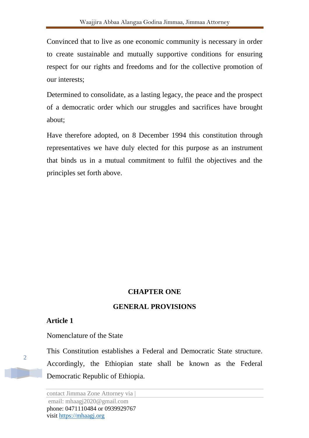Convinced that to live as one economic community is necessary in order to create sustainable and mutually supportive conditions for ensuring respect for our rights and freedoms and for the collective promotion of our interests;

Determined to consolidate, as a lasting legacy, the peace and the prospect of a democratic order which our struggles and sacrifices have brought about;

Have therefore adopted, on 8 December 1994 this constitution through representatives we have duly elected for this purpose as an instrument that binds us in a mutual commitment to fulfil the objectives and the principles set forth above.

#### **CHAPTER ONE**

#### **GENERAL PROVISIONS**

#### **Article 1**

Nomenclature of the State

This Constitution establishes a Federal and Democratic State structure. Accordingly, the Ethiopian state shall be known as the Federal Democratic Republic of Ethiopia.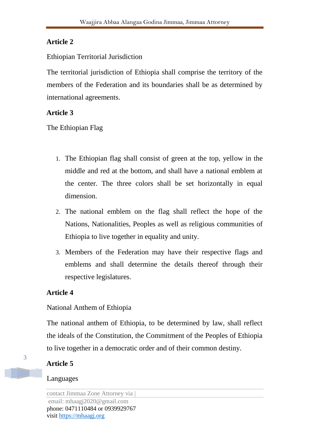### Ethiopian Territorial Jurisdiction

The territorial jurisdiction of Ethiopia shall comprise the territory of the members of the Federation and its boundaries shall be as determined by international agreements.

# **Article 3**

The Ethiopian Flag

- 1. The Ethiopian flag shall consist of green at the top, yellow in the middle and red at the bottom, and shall have a national emblem at the center. The three colors shall be set horizontally in equal dimension.
- 2. The national emblem on the flag shall reflect the hope of the Nations, Nationalities, Peoples as well as religious communities of Ethiopia to live together in equality and unity.
- 3. Members of the Federation may have their respective flags and emblems and shall determine the details thereof through their respective legislatures.

# **Article 4**

# National Anthem of Ethiopia

The national anthem of Ethiopia, to be determined by law, shall reflect the ideals of the Constitution, the Commitment of the Peoples of Ethiopia to live together in a democratic order and of their common destiny.

# **Article 5**

### Languages

contact Jimmaa Zone Attorney via | email: mhaagj2020@gmail.com phone: 0471110484 or 0939929767 visit https://mhaagj.org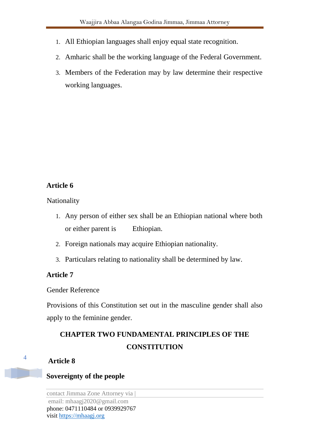- 1. All Ethiopian languages shall enjoy equal state recognition.
- 2. Amharic shall be the working language of the Federal Government.
- 3. Members of the Federation may by law determine their respective working languages.

Nationality

- 1. Any person of either sex shall be an Ethiopian national where both or either parent is Ethiopian.
- 2. Foreign nationals may acquire Ethiopian nationality.
- 3. Particulars relating to nationality shall be determined by law.

#### **Article 7**

Gender Reference

Provisions of this Constitution set out in the masculine gender shall also apply to the feminine gender.

# **CHAPTER TWO FUNDAMENTAL PRINCIPLES OF THE CONSTITUTION**

#### **Article 8**

#### **Sovereignty of the people**

contact Jimmaa Zone Attorney via | email: mhaagj2020@gmail.com phone: 0471110484 or 0939929767 visit https://mhaagj.org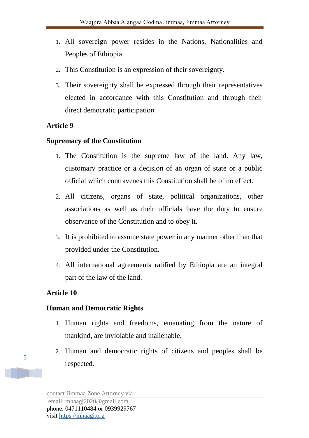- 1. All sovereign power resides in the Nations, Nationalities and Peoples of Ethiopia.
- 2. This Constitution is an expression of their sovereignty.
- 3. Their sovereignty shall be expressed through their representatives elected in accordance with this Constitution and through their direct democratic participation

#### **Supremacy of the Constitution**

- 1. The Constitution is the supreme law of the land. Any law, customary practice or a decision of an organ of state or a public official which contravenes this Constitution shall be of no effect.
- 2. All citizens, organs of state, political organizations, other associations as well as their officials have the duty to ensure observance of the Constitution and to obey it.
- 3. It is prohibited to assume state power in any manner other than that provided under the Constitution.
- 4. All international agreements ratified by Ethiopia are an integral part of the law of the land.

#### **Article 10**

#### **Human and Democratic Rights**

- 1. Human rights and freedoms, emanating from the nature of mankind, are inviolable and inalienable.
- 2. Human and democratic rights of citizens and peoples shall be respected.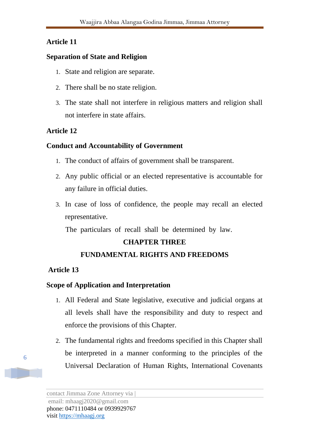#### **Separation of State and Religion**

- 1. State and religion are separate.
- 2. There shall be no state religion.
- 3. The state shall not interfere in religious matters and religion shall not interfere in state affairs.

#### **Article 12**

#### **Conduct and Accountability of Government**

- 1. The conduct of affairs of government shall be transparent.
- 2. Any public official or an elected representative is accountable for any failure in official duties.
- 3. In case of loss of confidence, the people may recall an elected representative.

The particulars of recall shall be determined by law.

### **CHAPTER THREE**

### **FUNDAMENTAL RIGHTS AND FREEDOMS**

#### **Article 13**

### **Scope of Application and Interpretation**

- 1. All Federal and State legislative, executive and judicial organs at all levels shall have the responsibility and duty to respect and enforce the provisions of this Chapter.
- 2. The fundamental rights and freedoms specified in this Chapter shall be interpreted in a manner conforming to the principles of the Universal Declaration of Human Rights, International Covenants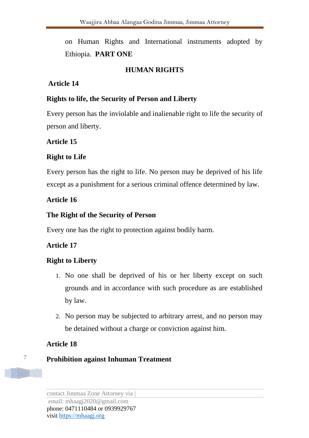on Human Rights and International instruments adopted by Ethiopia. **PART ONE** 

### **HUMAN RIGHTS**

### **Article 14**

#### **Rights to life, the Security of Person and Liberty**

Every person has the inviolable and inalienable right to life the security of person and liberty.

### **Article 15**

### **Right to Life**

Every person has the right to life. No person may be deprived of his life except as a punishment for a serious criminal offence determined by law.

### **Article 16**

### **The Right of the Security of Person**

Every one has the right to protection against bodily harm.

### **Article 17**

### **Right to Liberty**

- 1. No one shall be deprived of his or her liberty except on such grounds and in accordance with such procedure as are established by law.
- 2. No person may be subjected to arbitrary arrest, and no person may be detained without a charge or conviction against him.

### **Article 18**

7

### **Prohibition against Inhuman Treatment**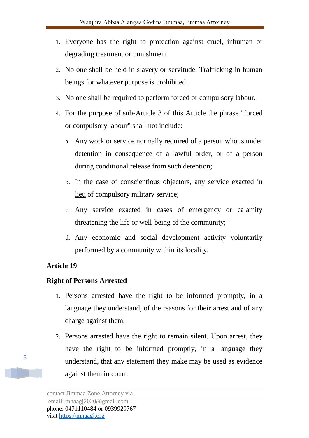- 1. Everyone has the right to protection against cruel, inhuman or degrading treatment or punishment.
- 2. No one shall be held in slavery or servitude. Trafficking in human beings for whatever purpose is prohibited.
- 3. No one shall be required to perform forced or compulsory labour.
- 4. For the purpose of sub-Article 3 of this Article the phrase "forced or compulsory labour" shall not include:
	- a. Any work or service normally required of a person who is under detention in consequence of a lawful order, or of a person during conditional release from such detention;
	- b. In the case of conscientious objectors, any service exacted in lieu of compulsory military service;
	- c. Any service exacted in cases of emergency or calamity threatening the life or well-being of the community;
	- d. Any economic and social development activity voluntarily performed by a community within its locality.

### **Right of Persons Arrested**

- 1. Persons arrested have the right to be informed promptly, in a language they understand, of the reasons for their arrest and of any charge against them.
- 2. Persons arrested have the right to remain silent. Upon arrest, they have the right to be informed promptly, in a language they understand, that any statement they make may be used as evidence against them in court.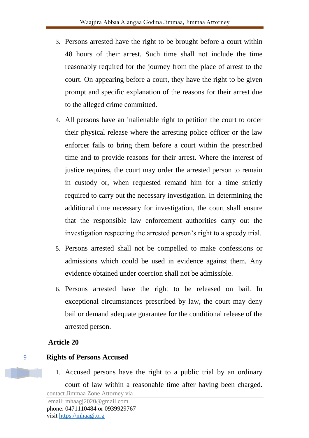- 3. Persons arrested have the right to be brought before a court within 48 hours of their arrest. Such time shall not include the time reasonably required for the journey from the place of arrest to the court. On appearing before a court, they have the right to be given prompt and specific explanation of the reasons for their arrest due to the alleged crime committed.
- 4. All persons have an inalienable right to petition the court to order their physical release where the arresting police officer or the law enforcer fails to bring them before a court within the prescribed time and to provide reasons for their arrest. Where the interest of justice requires, the court may order the arrested person to remain in custody or, when requested remand him for a time strictly required to carry out the necessary investigation. In determining the additional time necessary for investigation, the court shall ensure that the responsible law enforcement authorities carry out the investigation respecting the arrested person's right to a speedy trial.
- 5. Persons arrested shall not be compelled to make confessions or admissions which could be used in evidence against them. Any evidence obtained under coercion shall not be admissible.
- 6. Persons arrested have the right to be released on bail. In exceptional circumstances prescribed by law, the court may deny bail or demand adequate guarantee for the conditional release of the arrested person.

- **Rights of Persons Accused** 
	- 1. Accused persons have the right to a public trial by an ordinary court of law within a reasonable time after having been charged.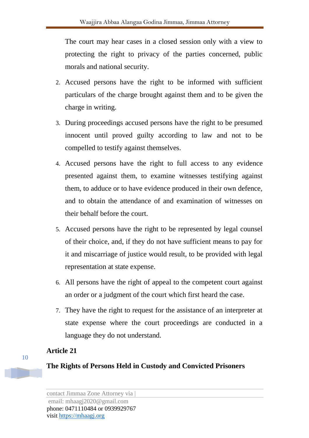The court may hear cases in a closed session only with a view to protecting the right to privacy of the parties concerned, public morals and national security.

- 2. Accused persons have the right to be informed with sufficient particulars of the charge brought against them and to be given the charge in writing.
- 3. During proceedings accused persons have the right to be presumed innocent until proved guilty according to law and not to be compelled to testify against themselves.
- 4. Accused persons have the right to full access to any evidence presented against them, to examine witnesses testifying against them, to adduce or to have evidence produced in their own defence, and to obtain the attendance of and examination of witnesses on their behalf before the court.
- 5. Accused persons have the right to be represented by legal counsel of their choice, and, if they do not have sufficient means to pay for it and miscarriage of justice would result, to be provided with legal representation at state expense.
- 6. All persons have the right of appeal to the competent court against an order or a judgment of the court which first heard the case.
- 7. They have the right to request for the assistance of an interpreter at state expense where the court proceedings are conducted in a language they do not understand.

### **Article 21**

### **The Rights of Persons Held in Custody and Convicted Prisoners**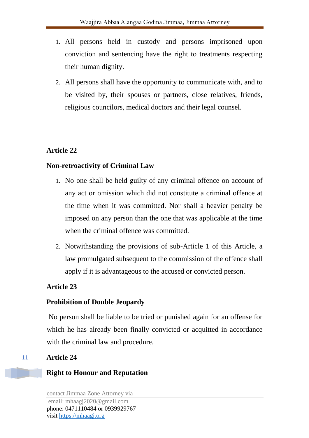- 1. All persons held in custody and persons imprisoned upon conviction and sentencing have the right to treatments respecting their human dignity.
- 2. All persons shall have the opportunity to communicate with, and to be visited by, their spouses or partners, close relatives, friends, religious councilors, medical doctors and their legal counsel.

#### **Non-retroactivity of Criminal Law**

- 1. No one shall be held guilty of any criminal offence on account of any act or omission which did not constitute a criminal offence at the time when it was committed. Nor shall a heavier penalty be imposed on any person than the one that was applicable at the time when the criminal offence was committed.
- 2. Notwithstanding the provisions of sub-Article 1 of this Article, a law promulgated subsequent to the commission of the offence shall apply if it is advantageous to the accused or convicted person.

### **Article 23**

#### **Prohibition of Double Jeopardy**

No person shall be liable to be tried or punished again for an offense for which he has already been finally convicted or acquitted in accordance with the criminal law and procedure.

#### **Article 24**

### **Right to Honour and Reputation**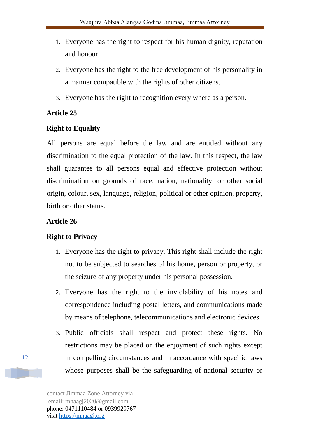- 1. Everyone has the right to respect for his human dignity, reputation and honour.
- 2. Everyone has the right to the free development of his personality in a manner compatible with the rights of other citizens.
- 3. Everyone has the right to recognition every where as a person.

### **Right to Equality**

All persons are equal before the law and are entitled without any discrimination to the equal protection of the law. In this respect, the law shall guarantee to all persons equal and effective protection without discrimination on grounds of race, nation, nationality, or other social origin, colour, sex, language, religion, political or other opinion, property, birth or other status.

### **Article 26**

### **Right to Privacy**

- 1. Everyone has the right to privacy. This right shall include the right not to be subjected to searches of his home, person or property, or the seizure of any property under his personal possession.
- 2. Everyone has the right to the inviolability of his notes and correspondence including postal letters, and communications made by means of telephone, telecommunications and electronic devices.
- 3. Public officials shall respect and protect these rights. No restrictions may be placed on the enjoyment of such rights except in compelling circumstances and in accordance with specific laws whose purposes shall be the safeguarding of national security or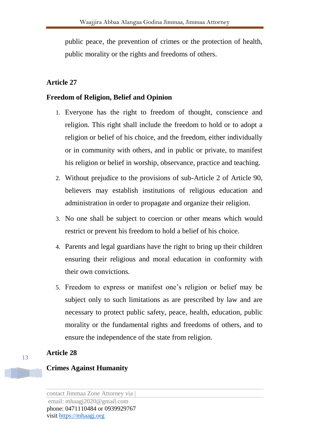public peace, the prevention of crimes or the protection of health, public morality or the rights and freedoms of others.

#### **Article 27**

#### **Freedom of Religion, Belief and Opinion**

- 1. Everyone has the right to freedom of thought, conscience and religion. This right shall include the freedom to hold or to adopt a religion or belief of his choice, and the freedom, either individually or in community with others, and in public or private, to manifest his religion or belief in worship, observance, practice and teaching.
- 2. Without prejudice to the provisions of sub-Article 2 of Article 90, believers may establish institutions of religious education and administration in order to propagate and organize their religion.
- 3. No one shall be subject to coercion or other means which would restrict or prevent his freedom to hold a belief of his choice.
- 4. Parents and legal guardians have the right to bring up their children ensuring their religious and moral education in conformity with their own convictions.
- 5. Freedom to express or manifest one's religion or belief may be subject only to such limitations as are prescribed by law and are necessary to protect public safety, peace, health, education, public morality or the fundamental rights and freedoms of others, and to ensure the independence of the state from religion.

#### **Article 28**

#### **Crimes Against Humanity**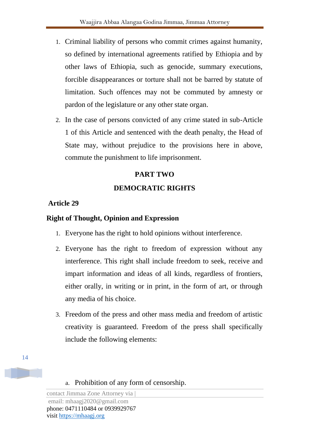- 1. Criminal liability of persons who commit crimes against humanity, so defined by international agreements ratified by Ethiopia and by other laws of Ethiopia, such as genocide, summary executions, forcible disappearances or torture shall not be barred by statute of limitation. Such offences may not be commuted by amnesty or pardon of the legislature or any other state organ.
- 2. In the case of persons convicted of any crime stated in sub-Article 1 of this Article and sentenced with the death penalty, the Head of State may, without prejudice to the provisions here in above, commute the punishment to life imprisonment.

### **PART TWO**

### **DEMOCRATIC RIGHTS**

#### **Article 29**

#### **Right of Thought, Opinion and Expression**

- 1. Everyone has the right to hold opinions without interference.
- 2. Everyone has the right to freedom of expression without any interference. This right shall include freedom to seek, receive and impart information and ideas of all kinds, regardless of frontiers, either orally, in writing or in print, in the form of art, or through any media of his choice.
- 3. Freedom of the press and other mass media and freedom of artistic creativity is guaranteed. Freedom of the press shall specifically include the following elements:

14

a. Prohibition of any form of censorship.

contact Jimmaa Zone Attorney via | email: mhaagj2020@gmail.com

phone: 0471110484 or 0939929767 visit https://mhaagj.org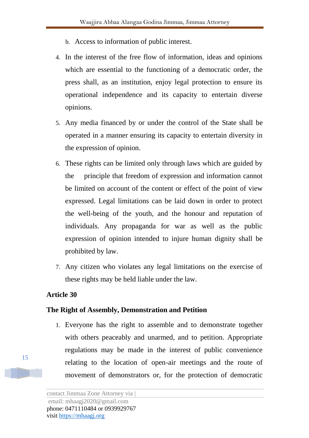- b. Access to information of public interest.
- 4. In the interest of the free flow of information, ideas and opinions which are essential to the functioning of a democratic order, the press shall, as an institution, enjoy legal protection to ensure its operational independence and its capacity to entertain diverse opinions.
- 5. Any media financed by or under the control of the State shall be operated in a manner ensuring its capacity to entertain diversity in the expression of opinion.
- 6. These rights can be limited only through laws which are guided by the principle that freedom of expression and information cannot be limited on account of the content or effect of the point of view expressed. Legal limitations can be laid down in order to protect the well-being of the youth, and the honour and reputation of individuals. Any propaganda for war as well as the public expression of opinion intended to injure human dignity shall be prohibited by law.
- 7. Any citizen who violates any legal limitations on the exercise of these rights may be held liable under the law.

#### **The Right of Assembly, Demonstration and Petition**

1. Everyone has the right to assemble and to demonstrate together with others peaceably and unarmed, and to petition. Appropriate regulations may be made in the interest of public convenience relating to the location of open-air meetings and the route of movement of demonstrators or, for the protection of democratic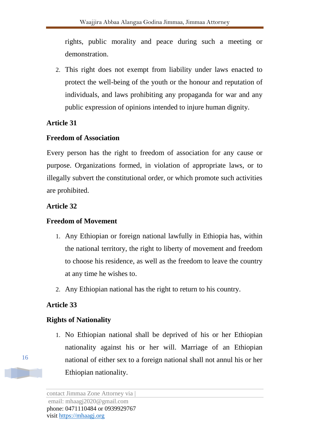rights, public morality and peace during such a meeting or demonstration.

2. This right does not exempt from liability under laws enacted to protect the well-being of the youth or the honour and reputation of individuals, and laws prohibiting any propaganda for war and any public expression of opinions intended to injure human dignity.

### **Article 31**

### **Freedom of Association**

Every person has the right to freedom of association for any cause or purpose. Organizations formed, in violation of appropriate laws, or to illegally subvert the constitutional order, or which promote such activities are prohibited.

### **Article 32**

### **Freedom of Movement**

- 1. Any Ethiopian or foreign national lawfully in Ethiopia has, within the national territory, the right to liberty of movement and freedom to choose his residence, as well as the freedom to leave the country at any time he wishes to.
- 2. Any Ethiopian national has the right to return to his country.

# **Article 33**

# **Rights of Nationality**

1. No Ethiopian national shall be deprived of his or her Ethiopian nationality against his or her will. Marriage of an Ethiopian national of either sex to a foreign national shall not annul his or her Ethiopian nationality.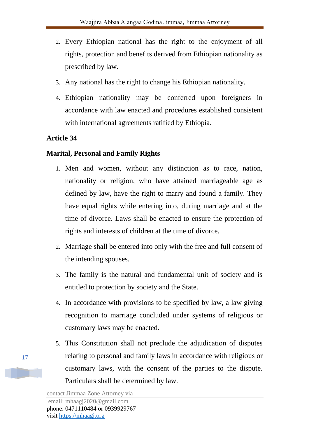- 2. Every Ethiopian national has the right to the enjoyment of all rights, protection and benefits derived from Ethiopian nationality as prescribed by law.
- 3. Any national has the right to change his Ethiopian nationality.
- 4. Ethiopian nationality may be conferred upon foreigners in accordance with law enacted and procedures established consistent with international agreements ratified by Ethiopia.

#### **Marital, Personal and Family Rights**

- 1. Men and women, without any distinction as to race, nation, nationality or religion, who have attained marriageable age as defined by law, have the right to marry and found a family. They have equal rights while entering into, during marriage and at the time of divorce. Laws shall be enacted to ensure the protection of rights and interests of children at the time of divorce.
- 2. Marriage shall be entered into only with the free and full consent of the intending spouses.
- 3. The family is the natural and fundamental unit of society and is entitled to protection by society and the State.
- 4. In accordance with provisions to be specified by law, a law giving recognition to marriage concluded under systems of religious or customary laws may be enacted.
- 5. This Constitution shall not preclude the adjudication of disputes relating to personal and family laws in accordance with religious or customary laws, with the consent of the parties to the dispute. Particulars shall be determined by law.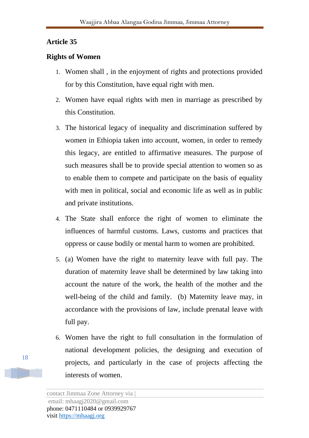#### **Rights of Women**

- 1. Women shall , in the enjoyment of rights and protections provided for by this Constitution, have equal right with men.
- 2. Women have equal rights with men in marriage as prescribed by this Constitution.
- 3. The historical legacy of inequality and discrimination suffered by women in Ethiopia taken into account, women, in order to remedy this legacy, are entitled to affirmative measures. The purpose of such measures shall be to provide special attention to women so as to enable them to compete and participate on the basis of equality with men in political, social and economic life as well as in public and private institutions.
- 4. The State shall enforce the right of women to eliminate the influences of harmful customs. Laws, customs and practices that oppress or cause bodily or mental harm to women are prohibited.
- 5. (a) Women have the right to maternity leave with full pay. The duration of maternity leave shall be determined by law taking into account the nature of the work, the health of the mother and the well-being of the child and family. (b) Maternity leave may, in accordance with the provisions of law, include prenatal leave with full pay.
- 6. Women have the right to full consultation in the formulation of national development policies, the designing and execution of projects, and particularly in the case of projects affecting the interests of women.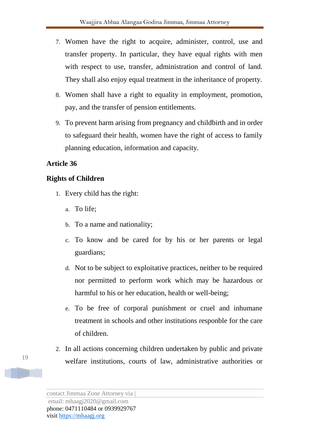- 7. Women have the right to acquire, administer, control, use and transfer property. In particular, they have equal rights with men with respect to use, transfer, administration and control of land. They shall also enjoy equal treatment in the inheritance of property.
- 8. Women shall have a right to equality in employment, promotion, pay, and the transfer of pension entitlements.
- 9. To prevent harm arising from pregnancy and childbirth and in order to safeguard their health, women have the right of access to family planning education, information and capacity.

### **Rights of Children**

- 1. Every child has the right:
	- a. To life;
	- b. To a name and nationality;
	- c. To know and be cared for by his or her parents or legal guardians;
	- d. Not to be subject to exploitative practices, neither to be required nor permitted to perform work which may be hazardous or harmful to his or her education, health or well-being;
	- e. To be free of corporal punishment or cruel and inhumane treatment in schools and other institutions responble for the care of children.
- 2. In all actions concerning children undertaken by public and private welfare institutions, courts of law, administrative authorities or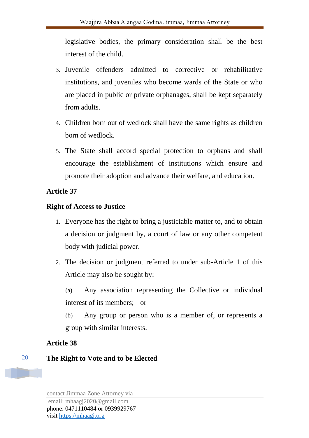legislative bodies, the primary consideration shall be the best interest of the child.

- 3. Juvenile offenders admitted to corrective or rehabilitative institutions, and juveniles who become wards of the State or who are placed in public or private orphanages, shall be kept separately from adults.
- 4. Children born out of wedlock shall have the same rights as children born of wedlock.
- 5. The State shall accord special protection to orphans and shall encourage the establishment of institutions which ensure and promote their adoption and advance their welfare, and education.

### **Article 37**

#### **Right of Access to Justice**

- 1. Everyone has the right to bring a justiciable matter to, and to obtain a decision or judgment by, a court of law or any other competent body with judicial power.
- 2. The decision or judgment referred to under sub-Article 1 of this Article may also be sought by:

(a) Any association representing the Collective or individual interest of its members; or

(b) Any group or person who is a member of, or represents a group with similar interests.

### **Article 38**

### **The Right to Vote and to be Elected**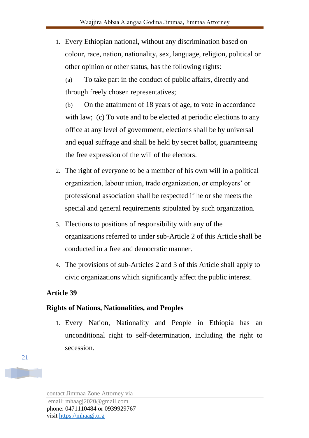1. Every Ethiopian national, without any discrimination based on colour, race, nation, nationality, sex, language, religion, political or other opinion or other status, has the following rights:

(a) To take part in the conduct of public affairs, directly and through freely chosen representatives;

(b) On the attainment of 18 years of age, to vote in accordance with law; (c) To vote and to be elected at periodic elections to any office at any level of government; elections shall be by universal and equal suffrage and shall be held by secret ballot, guaranteeing the free expression of the will of the electors.

- 2. The right of everyone to be a member of his own will in a political organization, labour union, trade organization, or employers' or professional association shall be respected if he or she meets the special and general requirements stipulated by such organization.
- 3. Elections to positions of responsibility with any of the organizations referred to under sub-Article 2 of this Article shall be conducted in a free and democratic manner.
- 4. The provisions of sub-Articles 2 and 3 of this Article shall apply to civic organizations which significantly affect the public interest.

### **Article 39**

### **Rights of Nations, Nationalities, and Peoples**

1. Every Nation, Nationality and People in Ethiopia has an unconditional right to self-determination, including the right to secession.

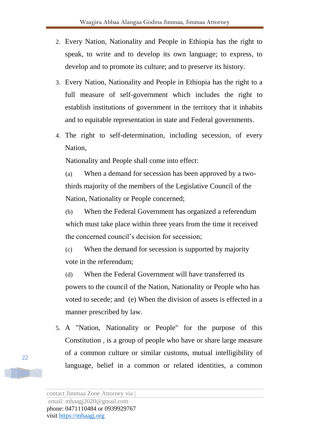- 2. Every Nation, Nationality and People in Ethiopia has the right to speak, to write and to develop its own language; to express, to develop and to promote its culture; and to preserve its history.
- 3. Every Nation, Nationality and People in Ethiopia has the right to a full measure of self-government which includes the right to establish institutions of government in the territory that it inhabits and to equitable representation in state and Federal governments.
- 4. The right to self-determination, including secession, of every Nation,

Nationality and People shall come into effect:

(a) When a demand for secession has been approved by a twothirds majority of the members of the Legislative Council of the Nation, Nationality or People concerned;

(b) When the Federal Government has organized a referendum which must take place within three years from the time it received the concerned council's decision for secession;

(c) When the demand for secession is supported by majority vote in the referendum;

(d) When the Federal Government will have transferred its powers to the council of the Nation, Nationality or People who has voted to secede; and (e) When the division of assets is effected in a manner prescribed by law.

5. A "Nation, Nationality or People" for the purpose of this Constitution , is a group of people who have or share large measure of a common culture or similar customs, mutual intelligibility of language, belief in a common or related identities, a common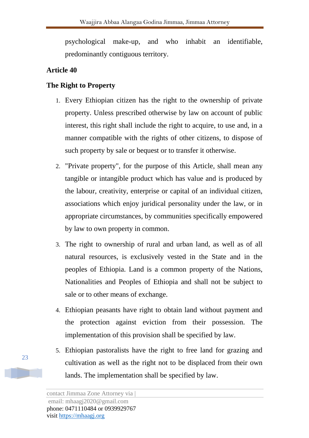psychological make-up, and who inhabit an identifiable, predominantly contiguous territory.

### **Article 40**

### **The Right to Property**

- 1. Every Ethiopian citizen has the right to the ownership of private property. Unless prescribed otherwise by law on account of public interest, this right shall include the right to acquire, to use and, in a manner compatible with the rights of other citizens, to dispose of such property by sale or bequest or to transfer it otherwise.
- 2. "Private property", for the purpose of this Article, shall mean any tangible or intangible product which has value and is produced by the labour, creativity, enterprise or capital of an individual citizen, associations which enjoy juridical personality under the law, or in appropriate circumstances, by communities specifically empowered by law to own property in common.
- 3. The right to ownership of rural and urban land, as well as of all natural resources, is exclusively vested in the State and in the peoples of Ethiopia. Land is a common property of the Nations, Nationalities and Peoples of Ethiopia and shall not be subject to sale or to other means of exchange.
- 4. Ethiopian peasants have right to obtain land without payment and the protection against eviction from their possession. The implementation of this provision shall be specified by law.
- 5. Ethiopian pastoralists have the right to free land for grazing and cultivation as well as the right not to be displaced from their own lands. The implementation shall be specified by law.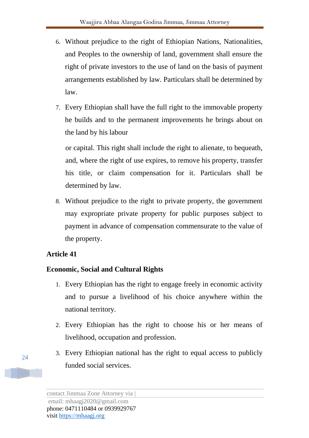- 6. Without prejudice to the right of Ethiopian Nations, Nationalities, and Peoples to the ownership of land, government shall ensure the right of private investors to the use of land on the basis of payment arrangements established by law. Particulars shall be determined by law.
- 7. Every Ethiopian shall have the full right to the immovable property he builds and to the permanent improvements he brings about on the land by his labour

or capital. This right shall include the right to alienate, to bequeath, and, where the right of use expires, to remove his property, transfer his title, or claim compensation for it. Particulars shall be determined by law.

8. Without prejudice to the right to private property, the government may expropriate private property for public purposes subject to payment in advance of compensation commensurate to the value of the property.

### **Article 41**

### **Economic, Social and Cultural Rights**

- 1. Every Ethiopian has the right to engage freely in economic activity and to pursue a livelihood of his choice anywhere within the national territory.
- 2. Every Ethiopian has the right to choose his or her means of livelihood, occupation and profession.
- 3. Every Ethiopian national has the right to equal access to publicly funded social services.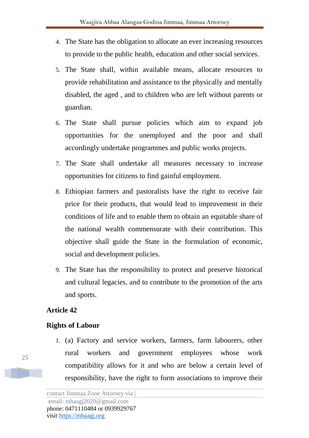- 4. The State has the obligation to allocate an ever increasing resources to provide to the public health, education and other social services.
- 5. The State shall, within available means, allocate resources to provide rehabilitation and assistance to the physically and mentally disabled, the aged , and to children who are left without parents or guardian.
- 6. The State shall pursue policies which aim to expand job opportunities for the unemployed and the poor and shall accordingly undertake programmes and public works projects.
- 7. The State shall undertake all measures necessary to increase opportunities for citizens to find gainful employment.
- 8. Ethiopian farmers and pastoralists have the right to receive fair price for their products, that would lead to improvement in their conditions of life and to enable them to obtain an equitable share of the national wealth commensurate with their contribution. This objective shall guide the State in the formulation of economic, social and development policies.
- 9. The State has the responsibility to protect and preserve historical and cultural legacies, and to contribute to the promotion of the arts and sports.

#### **Rights of Labour**

1. (a) Factory and service workers, farmers, farm labourers, other rural workers and government employees whose work compatibility allows for it and who are below a certain level of responsibility, have the right to form associations to improve their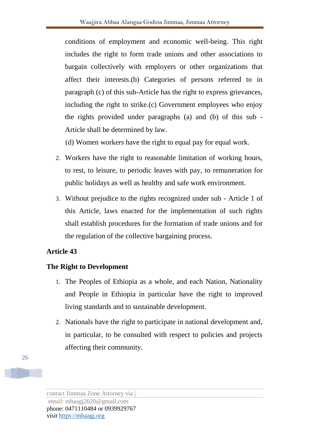conditions of employment and economic well-being. This right includes the right to form trade unions and other associations to bargain collectively with employers or other organizations that affect their interests.(b) Categories of persons referred to in paragraph (c) of this sub-Article has the right to express grievances, including the right to strike.(c) Government employees who enjoy the rights provided under paragraphs (a) and (b) of this sub - Article shall be determined by law.

(d) Women workers have the right to equal pay for equal work.

- 2. Workers have the right to reasonable limitation of working hours, to rest, to leisure, to periodic leaves with pay, to remuneration for public holidays as well as healthy and safe work environment.
- 3. Without prejudice to the rights recognized under sub Article 1 of this Article, laws enacted for the implementation of such rights shall establish procedures for the formation of trade unions and for the regulation of the collective bargaining process.

### **Article 43**

### **The Right to Development**

- 1. The Peoples of Ethiopia as a whole, and each Nation, Nationality and People in Ethiopia in particular have the right to improved living standards and to sustainable development.
- 2. Nationals have the right to participate in national development and, in particular, to be consulted with respect to policies and projects affecting their community.

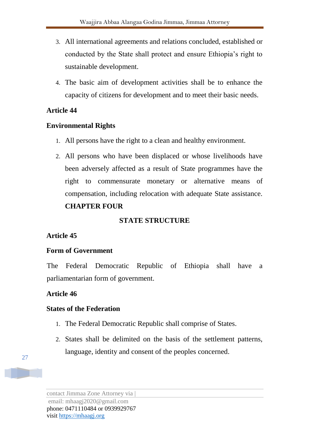- 3. All international agreements and relations concluded, established or conducted by the State shall protect and ensure Ethiopia's right to sustainable development.
- 4. The basic aim of development activities shall be to enhance the capacity of citizens for development and to meet their basic needs.

#### **Environmental Rights**

- 1. All persons have the right to a clean and healthy environment.
- 2. All persons who have been displaced or whose livelihoods have been adversely affected as a result of State programmes have the right to commensurate monetary or alternative means of compensation, including relocation with adequate State assistance. **CHAPTER FOUR**

#### **STATE STRUCTURE**

#### **Article 45**

#### **Form of Government**

The Federal Democratic Republic of Ethiopia shall have a parliamentarian form of government.

#### **Article 46**

#### **States of the Federation**

- 1. The Federal Democratic Republic shall comprise of States.
- 2. States shall be delimited on the basis of the settlement patterns, language, identity and consent of the peoples concerned.



contact Jimmaa Zone Attorney via | email: mhaagj2020@gmail.com phone: 0471110484 or 0939929767 visit https://mhaagj.org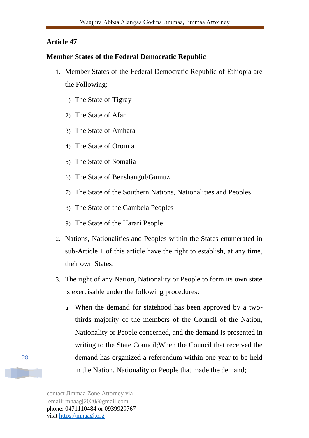#### **Member States of the Federal Democratic Republic**

- 1. Member States of the Federal Democratic Republic of Ethiopia are the Following:
	- 1) The State of Tigray
	- 2) The State of Afar
	- 3) The State of Amhara
	- 4) The State of Oromia
	- 5) The State of Somalia
	- 6) The State of Benshangul/Gumuz
	- 7) The State of the Southern Nations, Nationalities and Peoples
	- 8) The State of the Gambela Peoples
	- 9) The State of the Harari People
- 2. Nations, Nationalities and Peoples within the States enumerated in sub-Article 1 of this article have the right to establish, at any time, their own States.
- 3. The right of any Nation, Nationality or People to form its own state is exercisable under the following procedures:
	- a. When the demand for statehood has been approved by a twothirds majority of the members of the Council of the Nation, Nationality or People concerned, and the demand is presented in writing to the State Council;When the Council that received the demand has organized a referendum within one year to be held in the Nation, Nationality or People that made the demand;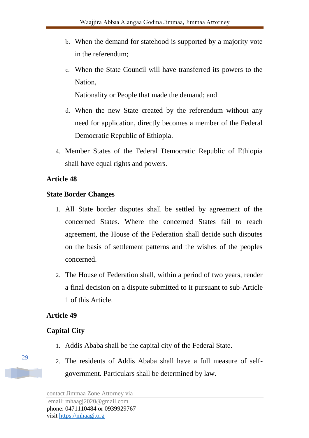- b. When the demand for statehood is supported by a majority vote in the referendum;
- c. When the State Council will have transferred its powers to the Nation,

Nationality or People that made the demand; and

- d. When the new State created by the referendum without any need for application, directly becomes a member of the Federal Democratic Republic of Ethiopia.
- 4. Member States of the Federal Democratic Republic of Ethiopia shall have equal rights and powers.

#### **Article 48**

#### **State Border Changes**

- 1. All State border disputes shall be settled by agreement of the concerned States. Where the concerned States fail to reach agreement, the House of the Federation shall decide such disputes on the basis of settlement patterns and the wishes of the peoples concerned.
- 2. The House of Federation shall, within a period of two years, render a final decision on a dispute submitted to it pursuant to sub-Article 1 of this Article.

#### **Article 49**

### **Capital City**

- 1. Addis Ababa shall be the capital city of the Federal State.
- 2. The residents of Addis Ababa shall have a full measure of selfgovernment. Particulars shall be determined by law.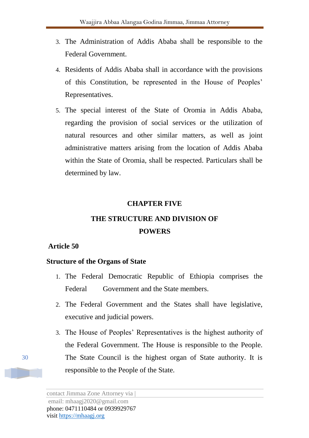- 3. The Administration of Addis Ababa shall be responsible to the Federal Government.
- 4. Residents of Addis Ababa shall in accordance with the provisions of this Constitution, be represented in the House of Peoples' Representatives.
- 5. The special interest of the State of Oromia in Addis Ababa, regarding the provision of social services or the utilization of natural resources and other similar matters, as well as joint administrative matters arising from the location of Addis Ababa within the State of Oromia, shall be respected. Particulars shall be determined by law.

#### **CHAPTER FIVE**

# **THE STRUCTURE AND DIVISION OF POWERS**

#### **Article 50**

#### **Structure of the Organs of State**

- 1. The Federal Democratic Republic of Ethiopia comprises the Federal Government and the State members.
- 2. The Federal Government and the States shall have legislative, executive and judicial powers.
- 3. The House of Peoples' Representatives is the highest authority of the Federal Government. The House is responsible to the People. The State Council is the highest organ of State authority. It is responsible to the People of the State.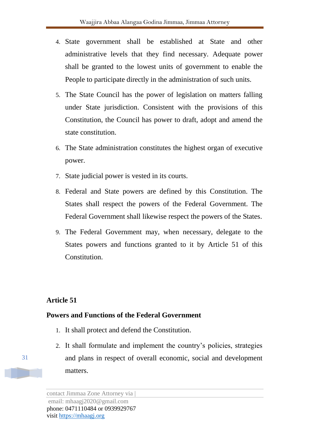- 4. State government shall be established at State and other administrative levels that they find necessary. Adequate power shall be granted to the lowest units of government to enable the People to participate directly in the administration of such units.
- 5. The State Council has the power of legislation on matters falling under State jurisdiction. Consistent with the provisions of this Constitution, the Council has power to draft, adopt and amend the state constitution.
- 6. The State administration constitutes the highest organ of executive power.
- 7. State judicial power is vested in its courts.
- 8. Federal and State powers are defined by this Constitution. The States shall respect the powers of the Federal Government. The Federal Government shall likewise respect the powers of the States.
- 9. The Federal Government may, when necessary, delegate to the States powers and functions granted to it by Article 51 of this Constitution.

#### **Powers and Functions of the Federal Government**

- 1. It shall protect and defend the Constitution.
- 2. It shall formulate and implement the country's policies, strategies and plans in respect of overall economic, social and development matters.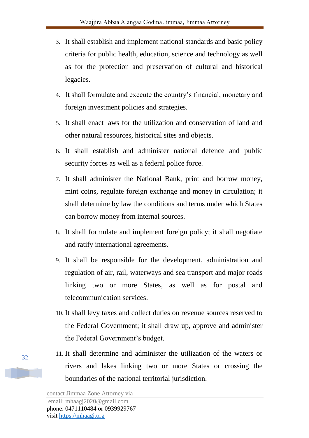- 3. It shall establish and implement national standards and basic policy criteria for public health, education, science and technology as well as for the protection and preservation of cultural and historical legacies.
- 4. It shall formulate and execute the country's financial, monetary and foreign investment policies and strategies.
- 5. It shall enact laws for the utilization and conservation of land and other natural resources, historical sites and objects.
- 6. It shall establish and administer national defence and public security forces as well as a federal police force.
- 7. It shall administer the National Bank, print and borrow money, mint coins, regulate foreign exchange and money in circulation; it shall determine by law the conditions and terms under which States can borrow money from internal sources.
- 8. It shall formulate and implement foreign policy; it shall negotiate and ratify international agreements.
- 9. It shall be responsible for the development, administration and regulation of air, rail, waterways and sea transport and major roads linking two or more States, as well as for postal and telecommunication services.
- 10. It shall levy taxes and collect duties on revenue sources reserved to the Federal Government; it shall draw up, approve and administer the Federal Government's budget.
- 11. It shall determine and administer the utilization of the waters or rivers and lakes linking two or more States or crossing the boundaries of the national territorial jurisdiction.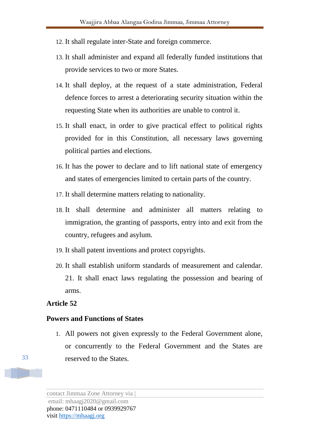- 12. It shall regulate inter-State and foreign commerce.
- 13. It shall administer and expand all federally funded institutions that provide services to two or more States.
- 14. It shall deploy, at the request of a state administration, Federal defence forces to arrest a deteriorating security situation within the requesting State when its authorities are unable to control it.
- 15. It shall enact, in order to give practical effect to political rights provided for in this Constitution, all necessary laws governing political parties and elections.
- 16. It has the power to declare and to lift national state of emergency and states of emergencies limited to certain parts of the country.
- 17. It shall determine matters relating to nationality.
- 18. It shall determine and administer all matters relating to immigration, the granting of passports, entry into and exit from the country, refugees and asylum.
- 19. It shall patent inventions and protect copyrights.
- 20. It shall establish uniform standards of measurement and calendar. 21. It shall enact laws regulating the possession and bearing of arms.

#### **Powers and Functions of States**

1. All powers not given expressly to the Federal Government alone, or concurrently to the Federal Government and the States are reserved to the States.

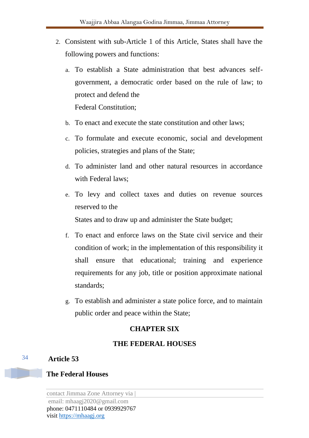- 2. Consistent with sub-Article 1 of this Article, States shall have the following powers and functions:
	- a. To establish a State administration that best advances selfgovernment, a democratic order based on the rule of law; to protect and defend the Federal Constitution;
	- b. To enact and execute the state constitution and other laws;
	- c. To formulate and execute economic, social and development policies, strategies and plans of the State;
	- d. To administer land and other natural resources in accordance with Federal laws;
	- e. To levy and collect taxes and duties on revenue sources reserved to the

States and to draw up and administer the State budget;

- f. To enact and enforce laws on the State civil service and their condition of work; in the implementation of this responsibility it shall ensure that educational; training and experience requirements for any job, title or position approximate national standards;
- g. To establish and administer a state police force, and to maintain public order and peace within the State;

#### **CHAPTER SIX**

#### **THE FEDERAL HOUSES**

#### **Article 53**

34

#### **The Federal Houses**

contact Jimmaa Zone Attorney via |

email: mhaagj2020@gmail.com phone: 0471110484 or 0939929767 visit https://mhaagj.org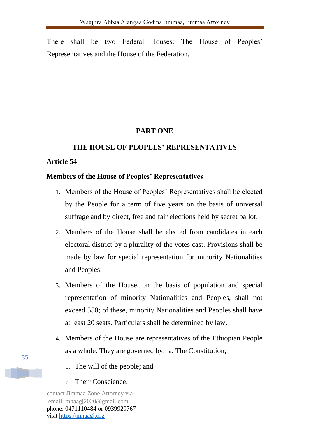There shall be two Federal Houses: The House of Peoples' Representatives and the House of the Federation.

### **PART ONE**

#### **THE HOUSE OF PEOPLES' REPRESENTATIVES**

#### **Article 54**

#### **Members of the House of Peoples' Representatives**

- 1. Members of the House of Peoples' Representatives shall be elected by the People for a term of five years on the basis of universal suffrage and by direct, free and fair elections held by secret ballot.
- 2. Members of the House shall be elected from candidates in each electoral district by a plurality of the votes cast. Provisions shall be made by law for special representation for minority Nationalities and Peoples.
- 3. Members of the House, on the basis of population and special representation of minority Nationalities and Peoples, shall not exceed 550; of these, minority Nationalities and Peoples shall have at least 20 seats. Particulars shall be determined by law.
- 4. Members of the House are representatives of the Ethiopian People as a whole. They are governed by: a. The Constitution;
	- b. The will of the people; and
	- c. Their Conscience.

contact Jimmaa Zone Attorney via |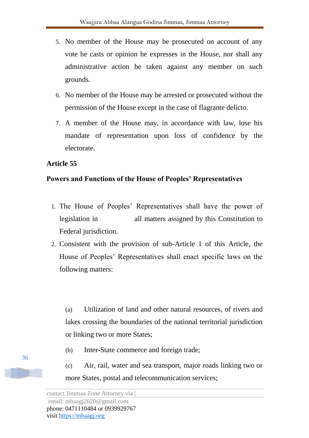- 5. No member of the House may be prosecuted on account of any vote he casts or opinion he expresses in the House, nor shall any administrative action be taken against any member on such grounds.
- 6. No member of the House may be arrested or prosecuted without the permission of the House except in the case of flagrante delicto.
- 7. A member of the House may, in accordance with law, lose his mandate of representation upon loss of confidence by the electorate.

### **Powers and Functions of the House of Peoples' Representatives**

- 1. The House of Peoples' Representatives shall have the power of legislation in all matters assigned by this Constitution to Federal jurisdiction.
- 2. Consistent with the provision of sub-Article 1 of this Article, the House of Peoples' Representatives shall enact specific laws on the following matters:

(a) Utilization of land and other natural resources, of rivers and lakes crossing the boundaries of the national territorial jurisdiction or linking two or more States;

- (b) Inter-State commerce and foreign trade;
- (c) Air, rail, water and sea transport, major roads linking two or more States, postal and telecommunication services;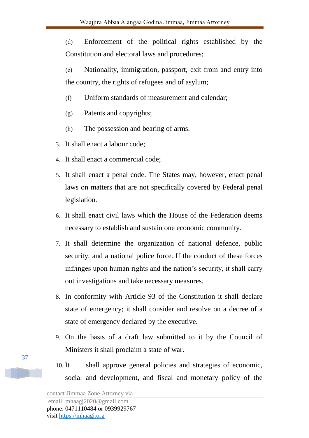(d) Enforcement of the political rights established by the Constitution and electoral laws and procedures;

(e) Nationality, immigration, passport, exit from and entry into the country, the rights of refugees and of asylum;

- (f) Uniform standards of measurement and calendar;
- (g) Patents and copyrights;
- (h) The possession and bearing of arms.
- 3. It shall enact a labour code;
- 4. It shall enact a commercial code;
- 5. It shall enact a penal code. The States may, however, enact penal laws on matters that are not specifically covered by Federal penal legislation.
- 6. It shall enact civil laws which the House of the Federation deems necessary to establish and sustain one economic community.
- 7. It shall determine the organization of national defence, public security, and a national police force. If the conduct of these forces infringes upon human rights and the nation's security, it shall carry out investigations and take necessary measures.
- 8. In conformity with Article 93 of the Constitution it shall declare state of emergency; it shall consider and resolve on a decree of a state of emergency declared by the executive.
- 9. On the basis of a draft law submitted to it by the Council of Ministers it shall proclaim a state of war.
- 10. It shall approve general policies and strategies of economic, social and development, and fiscal and monetary policy of the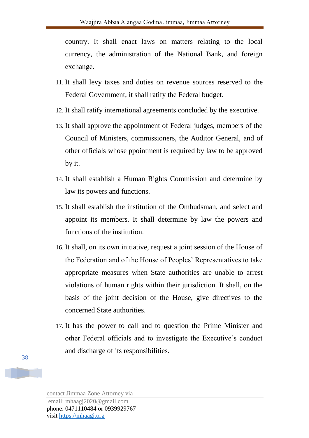country. It shall enact laws on matters relating to the local currency, the administration of the National Bank, and foreign exchange.

- 11. It shall levy taxes and duties on revenue sources reserved to the Federal Government, it shall ratify the Federal budget.
- 12. It shall ratify international agreements concluded by the executive.
- 13. It shall approve the appointment of Federal judges, members of the Council of Ministers, commissioners, the Auditor General, and of other officials whose ppointment is required by law to be approved by it.
- 14. It shall establish a Human Rights Commission and determine by law its powers and functions.
- 15. It shall establish the institution of the Ombudsman, and select and appoint its members. It shall determine by law the powers and functions of the institution.
- 16. It shall, on its own initiative, request a joint session of the House of the Federation and of the House of Peoples' Representatives to take appropriate measures when State authorities are unable to arrest violations of human rights within their jurisdiction. It shall, on the basis of the joint decision of the House, give directives to the concerned State authorities.
- 17. It has the power to call and to question the Prime Minister and other Federal officials and to investigate the Executive's conduct and discharge of its responsibilities.

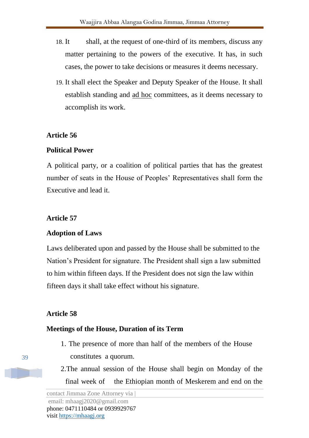- 18. It shall, at the request of one-third of its members, discuss any matter pertaining to the powers of the executive. It has, in such cases, the power to take decisions or measures it deems necessary.
- 19. It shall elect the Speaker and Deputy Speaker of the House. It shall establish standing and ad hoc committees, as it deems necessary to accomplish its work.

### **Political Power**

A political party, or a coalition of political parties that has the greatest number of seats in the House of Peoples' Representatives shall form the Executive and lead it.

### **Article 57**

### **Adoption of Laws**

Laws deliberated upon and passed by the House shall be submitted to the Nation's President for signature. The President shall sign a law submitted to him within fifteen days. If the President does not sign the law within fifteen days it shall take effect without his signature.

### **Article 58**

### **Meetings of the House, Duration of its Term**

- 1. The presence of more than half of the members of the House constitutes a quorum.
- 2.The annual session of the House shall begin on Monday of the final week of the Ethiopian month of Meskerem and end on the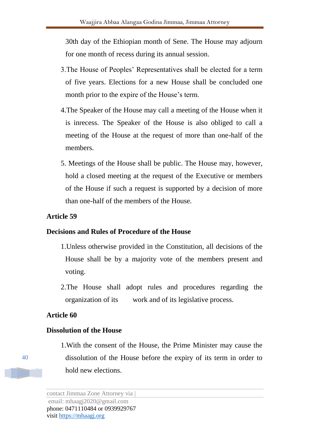30th day of the Ethiopian month of Sene. The House may adjourn for one month of recess during its annual session.

- 3.The House of Peoples' Representatives shall be elected for a term of five years. Elections for a new House shall be concluded one month prior to the expire of the House's term.
- 4.The Speaker of the House may call a meeting of the House when it is inrecess. The Speaker of the House is also obliged to call a meeting of the House at the request of more than one-half of the members.
- 5. Meetings of the House shall be public. The House may, however, hold a closed meeting at the request of the Executive or members of the House if such a request is supported by a decision of more than one-half of the members of the House.

### **Article 59**

### **Decisions and Rules of Procedure of the House**

- 1.Unless otherwise provided in the Constitution, all decisions of the House shall be by a majority vote of the members present and voting.
- 2.The House shall adopt rules and procedures regarding the organization of its work and of its legislative process.

### **Article 60**

### **Dissolution of the House**

1.With the consent of the House, the Prime Minister may cause the dissolution of the House before the expiry of its term in order to hold new elections.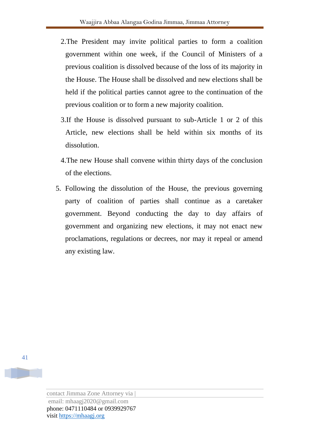- 2.The President may invite political parties to form a coalition government within one week, if the Council of Ministers of a previous coalition is dissolved because of the loss of its majority in the House. The House shall be dissolved and new elections shall be held if the political parties cannot agree to the continuation of the previous coalition or to form a new majority coalition.
- 3.If the House is dissolved pursuant to sub-Article 1 or 2 of this Article, new elections shall be held within six months of its dissolution.
- 4.The new House shall convene within thirty days of the conclusion of the elections.
- 5. Following the dissolution of the House, the previous governing party of coalition of parties shall continue as a caretaker government. Beyond conducting the day to day affairs of government and organizing new elections, it may not enact new proclamations, regulations or decrees, nor may it repeal or amend any existing law.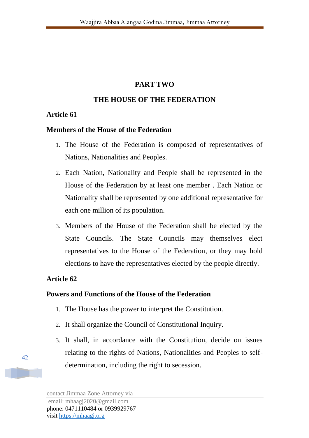# **PART TWO**

# **THE HOUSE OF THE FEDERATION**

## **Article 61**

### **Members of the House of the Federation**

- 1. The House of the Federation is composed of representatives of Nations, Nationalities and Peoples.
- 2. Each Nation, Nationality and People shall be represented in the House of the Federation by at least one member . Each Nation or Nationality shall be represented by one additional representative for each one million of its population.
- 3. Members of the House of the Federation shall be elected by the State Councils. The State Councils may themselves elect representatives to the House of the Federation, or they may hold elections to have the representatives elected by the people directly.

# **Article 62**

## **Powers and Functions of the House of the Federation**

- 1. The House has the power to interpret the Constitution.
- 2. It shall organize the Council of Constitutional Inquiry.
- 3. It shall, in accordance with the Constitution, decide on issues relating to the rights of Nations, Nationalities and Peoples to selfdetermination, including the right to secession.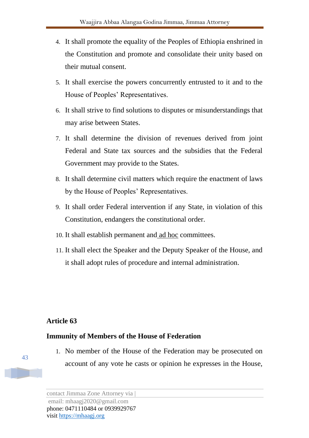- 4. It shall promote the equality of the Peoples of Ethiopia enshrined in the Constitution and promote and consolidate their unity based on their mutual consent.
- 5. It shall exercise the powers concurrently entrusted to it and to the House of Peoples' Representatives.
- 6. It shall strive to find solutions to disputes or misunderstandings that may arise between States.
- 7. It shall determine the division of revenues derived from joint Federal and State tax sources and the subsidies that the Federal Government may provide to the States.
- 8. It shall determine civil matters which require the enactment of laws by the House of Peoples' Representatives.
- 9. It shall order Federal intervention if any State, in violation of this Constitution, endangers the constitutional order.
- 10. It shall establish permanent and <u>ad hoc</u> committees.
- 11. It shall elect the Speaker and the Deputy Speaker of the House, and it shall adopt rules of procedure and internal administration.

## **Immunity of Members of the House of Federation**

1. No member of the House of the Federation may be prosecuted on account of any vote he casts or opinion he expresses in the House,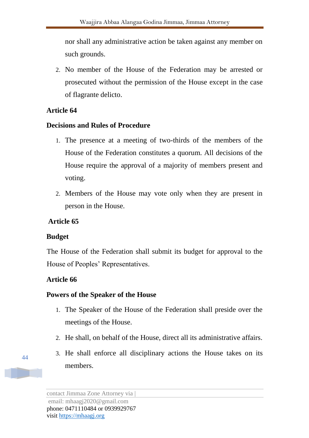nor shall any administrative action be taken against any member on such grounds.

2. No member of the House of the Federation may be arrested or prosecuted without the permission of the House except in the case of flagrante delicto.

# **Article 64**

## **Decisions and Rules of Procedure**

- 1. The presence at a meeting of two-thirds of the members of the House of the Federation constitutes a quorum. All decisions of the House require the approval of a majority of members present and voting.
- 2. Members of the House may vote only when they are present in person in the House.

# **Article 65**

# **Budget**

The House of the Federation shall submit its budget for approval to the House of Peoples' Representatives.

# **Article 66**

## **Powers of the Speaker of the House**

- 1. The Speaker of the House of the Federation shall preside over the meetings of the House.
- 2. He shall, on behalf of the House, direct all its administrative affairs.
- 3. He shall enforce all disciplinary actions the House takes on its members.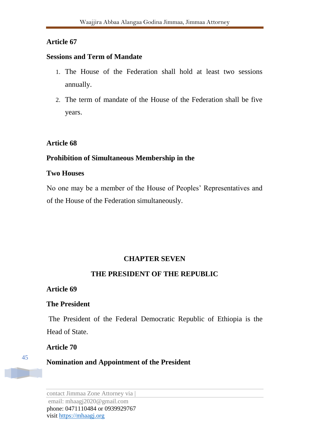### **Sessions and Term of Mandate**

- 1. The House of the Federation shall hold at least two sessions annually.
- 2. The term of mandate of the House of the Federation shall be five years.

### **Article 68**

# **Prohibition of Simultaneous Membership in the**

### **Two Houses**

No one may be a member of the House of Peoples' Representatives and of the House of the Federation simultaneously.

### **CHAPTER SEVEN**

## **THE PRESIDENT OF THE REPUBLIC**

### **Article 69**

### **The President**

The President of the Federal Democratic Republic of Ethiopia is the Head of State.

### **Article 70**

45

**Nomination and Appointment of the President**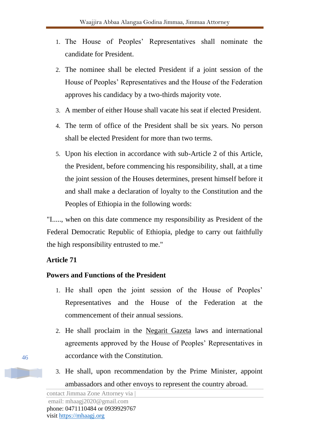- 1. The House of Peoples' Representatives shall nominate the candidate for President.
- 2. The nominee shall be elected President if a joint session of the House of Peoples' Representatives and the House of the Federation approves his candidacy by a two-thirds majority vote.
- 3. A member of either House shall vacate his seat if elected President.
- 4. The term of office of the President shall be six years. No person shall be elected President for more than two terms.
- 5. Upon his election in accordance with sub-Article 2 of this Article, the President, before commencing his responsibility, shall, at a time the joint session of the Houses determines, present himself before it and shall make a declaration of loyalty to the Constitution and the Peoples of Ethiopia in the following words:

"I....., when on this date commence my responsibility as President of the Federal Democratic Republic of Ethiopia, pledge to carry out faithfully the high responsibility entrusted to me."

# **Article 71**

# **Powers and Functions of the President**

- 1. He shall open the joint session of the House of Peoples' Representatives and the House of the Federation at the commencement of their annual sessions.
- 2. He shall proclaim in the Negarit Gazeta laws and international agreements approved by the House of Peoples' Representatives in accordance with the Constitution.
- 3. He shall, upon recommendation by the Prime Minister, appoint ambassadors and other envoys to represent the country abroad.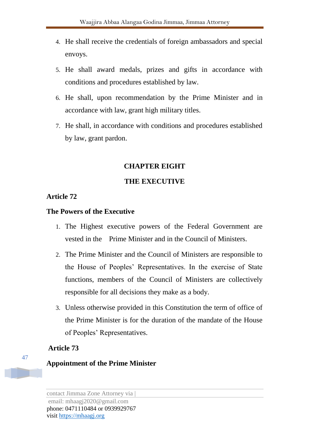- 4. He shall receive the credentials of foreign ambassadors and special envoys.
- 5. He shall award medals, prizes and gifts in accordance with conditions and procedures established by law.
- 6. He shall, upon recommendation by the Prime Minister and in accordance with law, grant high military titles.
- 7. He shall, in accordance with conditions and procedures established by law, grant pardon.

### **CHAPTER EIGHT**

### **THE EXECUTIVE**

### **Article 72**

### **The Powers of the Executive**

- 1. The Highest executive powers of the Federal Government are vested in the Prime Minister and in the Council of Ministers.
- 2. The Prime Minister and the Council of Ministers are responsible to the House of Peoples' Representatives. In the exercise of State functions, members of the Council of Ministers are collectively responsible for all decisions they make as a body.
- 3. Unless otherwise provided in this Constitution the term of office of the Prime Minister is for the duration of the mandate of the House of Peoples' Representatives.

### **Article 73**

## **Appointment of the Prime Minister**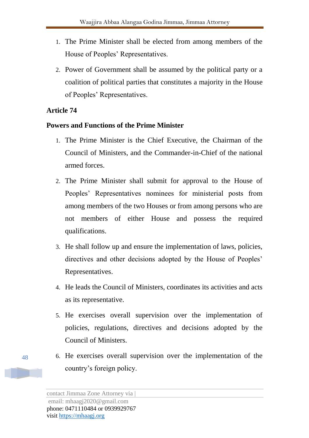- 1. The Prime Minister shall be elected from among members of the House of Peoples' Representatives.
- 2. Power of Government shall be assumed by the political party or a coalition of political parties that constitutes a majority in the House of Peoples' Representatives.

# **Powers and Functions of the Prime Minister**

- 1. The Prime Minister is the Chief Executive, the Chairman of the Council of Ministers, and the Commander-in-Chief of the national armed forces.
- 2. The Prime Minister shall submit for approval to the House of Peoples' Representatives nominees for ministerial posts from among members of the two Houses or from among persons who are not members of either House and possess the required qualifications.
- 3. He shall follow up and ensure the implementation of laws, policies, directives and other decisions adopted by the House of Peoples' Representatives.
- 4. He leads the Council of Ministers, coordinates its activities and acts as its representative.
- 5. He exercises overall supervision over the implementation of policies, regulations, directives and decisions adopted by the Council of Ministers.
- 6. He exercises overall supervision over the implementation of the country's foreign policy.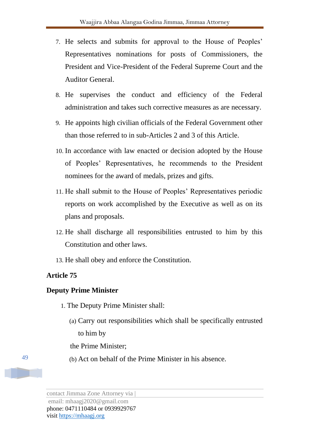- 7. He selects and submits for approval to the House of Peoples' Representatives nominations for posts of Commissioners, the President and Vice-President of the Federal Supreme Court and the Auditor General.
- 8. He supervises the conduct and efficiency of the Federal administration and takes such corrective measures as are necessary.
- 9. He appoints high civilian officials of the Federal Government other than those referred to in sub-Articles 2 and 3 of this Article.
- 10. In accordance with law enacted or decision adopted by the House of Peoples' Representatives, he recommends to the President nominees for the award of medals, prizes and gifts.
- 11. He shall submit to the House of Peoples' Representatives periodic reports on work accomplished by the Executive as well as on its plans and proposals.
- 12. He shall discharge all responsibilities entrusted to him by this Constitution and other laws.
- 13. He shall obey and enforce the Constitution.

## **Deputy Prime Minister**

- 1. The Deputy Prime Minister shall:
	- (a) Carry out responsibilities which shall be specifically entrusted to him by

the Prime Minister;

(b) Act on behalf of the Prime Minister in his absence.

contact Jimmaa Zone Attorney via |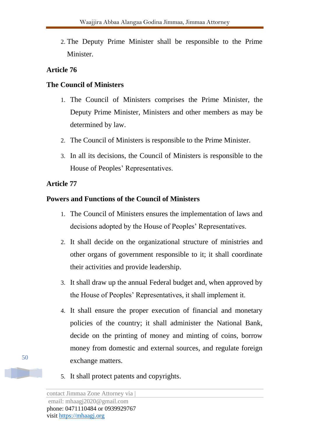2. The Deputy Prime Minister shall be responsible to the Prime Minister.

# **Article 76**

## **The Council of Ministers**

- 1. The Council of Ministers comprises the Prime Minister, the Deputy Prime Minister, Ministers and other members as may be determined by law.
- 2. The Council of Ministers is responsible to the Prime Minister.
- 3. In all its decisions, the Council of Ministers is responsible to the House of Peoples' Representatives.

## **Article 77**

## **Powers and Functions of the Council of Ministers**

- 1. The Council of Ministers ensures the implementation of laws and decisions adopted by the House of Peoples' Representatives.
- 2. It shall decide on the organizational structure of ministries and other organs of government responsible to it; it shall coordinate their activities and provide leadership.
- 3. It shall draw up the annual Federal budget and, when approved by the House of Peoples' Representatives, it shall implement it.
- 4. It shall ensure the proper execution of financial and monetary policies of the country; it shall administer the National Bank, decide on the printing of money and minting of coins, borrow money from domestic and external sources, and regulate foreign exchange matters.
- 5. It shall protect patents and copyrights.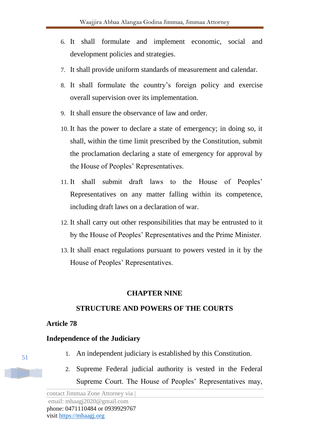- 6. It shall formulate and implement economic, social and development policies and strategies.
- 7. It shall provide uniform standards of measurement and calendar.
- 8. It shall formulate the country's foreign policy and exercise overall supervision over its implementation.
- 9. It shall ensure the observance of law and order.
- 10. It has the power to declare a state of emergency; in doing so, it shall, within the time limit prescribed by the Constitution, submit the proclamation declaring a state of emergency for approval by the House of Peoples' Representatives.
- 11. It shall submit draft laws to the House of Peoples' Representatives on any matter falling within its competence, including draft laws on a declaration of war.
- 12. It shall carry out other responsibilities that may be entrusted to it by the House of Peoples' Representatives and the Prime Minister.
- 13. It shall enact regulations pursuant to powers vested in it by the House of Peoples' Representatives.

## **CHAPTER NINE**

## **STRUCTURE AND POWERS OF THE COURTS**

## **Article 78**

## **Independence of the Judiciary**

- 1. An independent judiciary is established by this Constitution.
- 2. Supreme Federal judicial authority is vested in the Federal Supreme Court. The House of Peoples' Representatives may,

contact Jimmaa Zone Attorney via | email: mhaagj2020@gmail.com phone: 0471110484 or 0939929767 visit https://mhaagj.org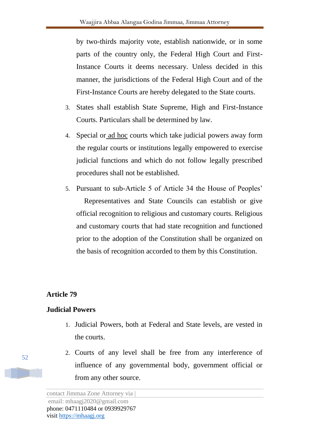by two-thirds majority vote, establish nationwide, or in some parts of the country only, the Federal High Court and First-Instance Courts it deems necessary. Unless decided in this manner, the jurisdictions of the Federal High Court and of the First-Instance Courts are hereby delegated to the State courts.

- 3. States shall establish State Supreme, High and First-Instance Courts. Particulars shall be determined by law.
- 4. Special or ad hoc courts which take judicial powers away form the regular courts or institutions legally empowered to exercise judicial functions and which do not follow legally prescribed procedures shall not be established.
- 5. Pursuant to sub-Article 5 of Article 34 the House of Peoples' Representatives and State Councils can establish or give official recognition to religious and customary courts. Religious and customary courts that had state recognition and functioned prior to the adoption of the Constitution shall be organized on the basis of recognition accorded to them by this Constitution.

## **Article 79**

## **Judicial Powers**

- 1. Judicial Powers, both at Federal and State levels, are vested in the courts.
- 2. Courts of any level shall be free from any interference of influence of any governmental body, government official or from any other source.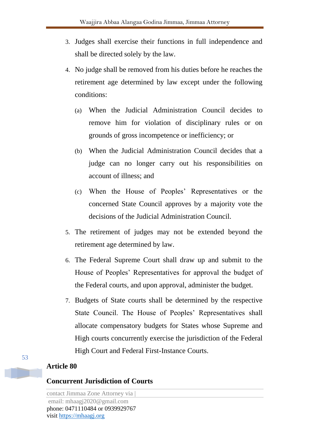- 3. Judges shall exercise their functions in full independence and shall be directed solely by the law.
- 4. No judge shall be removed from his duties before he reaches the retirement age determined by law except under the following conditions:
	- (a) When the Judicial Administration Council decides to remove him for violation of disciplinary rules or on grounds of gross incompetence or inefficiency; or
	- (b) When the Judicial Administration Council decides that a judge can no longer carry out his responsibilities on account of illness; and
	- (c) When the House of Peoples' Representatives or the concerned State Council approves by a majority vote the decisions of the Judicial Administration Council.
- 5. The retirement of judges may not be extended beyond the retirement age determined by law.
- 6. The Federal Supreme Court shall draw up and submit to the House of Peoples' Representatives for approval the budget of the Federal courts, and upon approval, administer the budget.
- 7. Budgets of State courts shall be determined by the respective State Council. The House of Peoples' Representatives shall allocate compensatory budgets for States whose Supreme and High courts concurrently exercise the jurisdiction of the Federal High Court and Federal First-Instance Courts.

### **Concurrent Jurisdiction of Courts**

contact Jimmaa Zone Attorney via | email: mhaagj2020@gmail.com phone: 0471110484 or 0939929767 visit https://mhaagj.org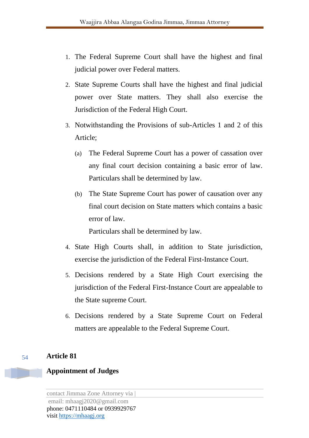- 1. The Federal Supreme Court shall have the highest and final judicial power over Federal matters.
- 2. State Supreme Courts shall have the highest and final judicial power over State matters. They shall also exercise the Jurisdiction of the Federal High Court.
- 3. Notwithstanding the Provisions of sub-Articles 1 and 2 of this Article;
	- (a) The Federal Supreme Court has a power of cassation over any final court decision containing a basic error of law. Particulars shall be determined by law.
	- (b) The State Supreme Court has power of causation over any final court decision on State matters which contains a basic error of law.

Particulars shall be determined by law.

- 4. State High Courts shall, in addition to State jurisdiction, exercise the jurisdiction of the Federal First-Instance Court.
- 5. Decisions rendered by a State High Court exercising the jurisdiction of the Federal First-Instance Court are appealable to the State supreme Court.
- 6. Decisions rendered by a State Supreme Court on Federal matters are appealable to the Federal Supreme Court.

# **Article 81**

# **Appointment of Judges**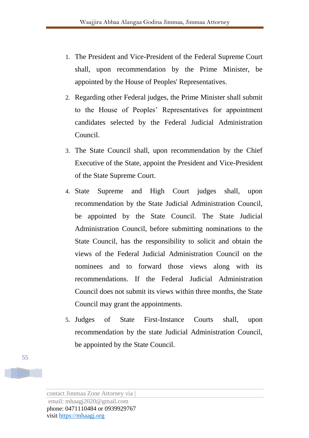- 1. The President and Vice-President of the Federal Supreme Court shall, upon recommendation by the Prime Minister, be appointed by the House of Peoples' Representatives.
- 2. Regarding other Federal judges, the Prime Minister shall submit to the House of Peoples' Representatives for appointment candidates selected by the Federal Judicial Administration Council.
- 3. The State Council shall, upon recommendation by the Chief Executive of the State, appoint the President and Vice-President of the State Supreme Court.
- 4. State Supreme and High Court judges shall, upon recommendation by the State Judicial Administration Council, be appointed by the State Council. The State Judicial Administration Council, before submitting nominations to the State Council, has the responsibility to solicit and obtain the views of the Federal Judicial Administration Council on the nominees and to forward those views along with its recommendations. If the Federal Judicial Administration Council does not submit its views within three months, the State Council may grant the appointments.
- 5. Judges of State First-Instance Courts shall, upon recommendation by the state Judicial Administration Council, be appointed by the State Council.

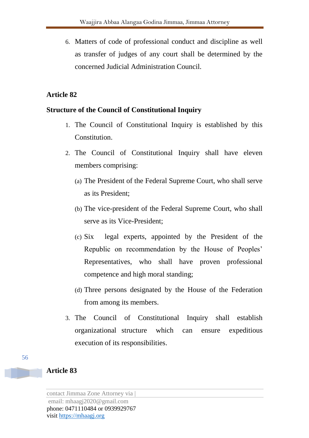6. Matters of code of professional conduct and discipline as well as transfer of judges of any court shall be determined by the concerned Judicial Administration Council.

# **Article 82**

## **Structure of the Council of Constitutional Inquiry**

- 1. The Council of Constitutional Inquiry is established by this Constitution.
- 2. The Council of Constitutional Inquiry shall have eleven members comprising:
	- (a) The President of the Federal Supreme Court, who shall serve as its President;
	- (b) The vice-president of the Federal Supreme Court, who shall serve as its Vice-President;
	- (c) Six legal experts, appointed by the President of the Republic on recommendation by the House of Peoples' Representatives, who shall have proven professional competence and high moral standing;
	- (d) Three persons designated by the House of the Federation from among its members.
- 3. The Council of Constitutional Inquiry shall establish organizational structure which can ensure expeditious execution of its responsibilities.

# **Article 83**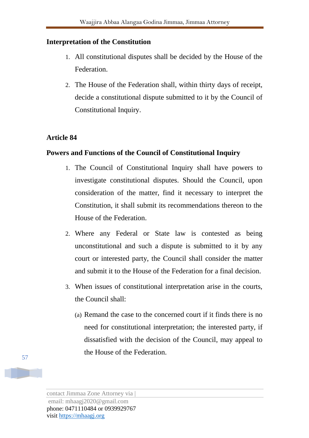## **Interpretation of the Constitution**

- 1. All constitutional disputes shall be decided by the House of the Federation.
- 2. The House of the Federation shall, within thirty days of receipt, decide a constitutional dispute submitted to it by the Council of Constitutional Inquiry.

# **Article 84**

## **Powers and Functions of the Council of Constitutional Inquiry**

- 1. The Council of Constitutional Inquiry shall have powers to investigate constitutional disputes. Should the Council, upon consideration of the matter, find it necessary to interpret the Constitution, it shall submit its recommendations thereon to the House of the Federation.
- 2. Where any Federal or State law is contested as being unconstitutional and such a dispute is submitted to it by any court or interested party, the Council shall consider the matter and submit it to the House of the Federation for a final decision.
- 3. When issues of constitutional interpretation arise in the courts, the Council shall:
	- (a) Remand the case to the concerned court if it finds there is no need for constitutional interpretation; the interested party, if dissatisfied with the decision of the Council, may appeal to the House of the Federation.

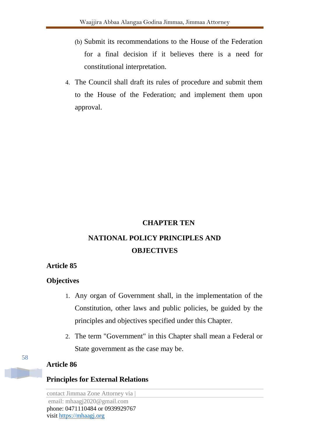- (b) Submit its recommendations to the House of the Federation for a final decision if it believes there is a need for constitutional interpretation.
- 4. The Council shall draft its rules of procedure and submit them to the House of the Federation; and implement them upon approval.

### **CHAPTER TEN**

# **NATIONAL POLICY PRINCIPLES AND OBJECTIVES**

### **Article 85**

### **Objectives**

- 1. Any organ of Government shall, in the implementation of the Constitution, other laws and public policies, be guided by the principles and objectives specified under this Chapter.
- 2. The term "Government" in this Chapter shall mean a Federal or State government as the case may be.

## **Article 86**

## **Principles for External Relations**

contact Jimmaa Zone Attorney via | email: mhaagj2020@gmail.com phone: 0471110484 or 0939929767 visit https://mhaagj.org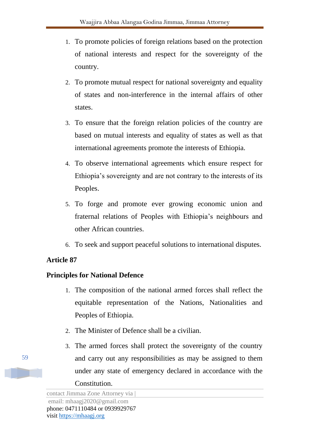- 1. To promote policies of foreign relations based on the protection of national interests and respect for the sovereignty of the country.
- 2. To promote mutual respect for national sovereignty and equality of states and non-interference in the internal affairs of other states.
- 3. To ensure that the foreign relation policies of the country are based on mutual interests and equality of states as well as that international agreements promote the interests of Ethiopia.
- 4. To observe international agreements which ensure respect for Ethiopia's sovereignty and are not contrary to the interests of its Peoples.
- 5. To forge and promote ever growing economic union and fraternal relations of Peoples with Ethiopia's neighbours and other African countries.
- 6. To seek and support peaceful solutions to international disputes.

## **Principles for National Defence**

- 1. The composition of the national armed forces shall reflect the equitable representation of the Nations, Nationalities and Peoples of Ethiopia.
- 2. The Minister of Defence shall be a civilian.
- 3. The armed forces shall protect the sovereignty of the country and carry out any responsibilities as may be assigned to them under any state of emergency declared in accordance with the Constitution.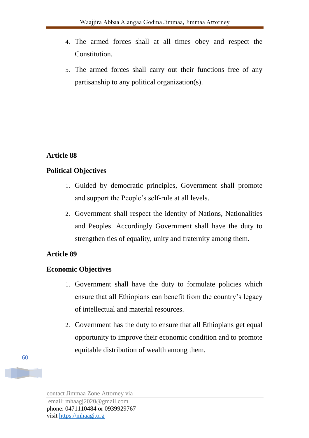- 4. The armed forces shall at all times obey and respect the Constitution.
- 5. The armed forces shall carry out their functions free of any partisanship to any political organization(s).

## **Political Objectives**

- 1. Guided by democratic principles, Government shall promote and support the People's self-rule at all levels.
- 2. Government shall respect the identity of Nations, Nationalities and Peoples. Accordingly Government shall have the duty to strengthen ties of equality, unity and fraternity among them.

# **Article 89**

## **Economic Objectives**

- 1. Government shall have the duty to formulate policies which ensure that all Ethiopians can benefit from the country's legacy of intellectual and material resources.
- 2. Government has the duty to ensure that all Ethiopians get equal opportunity to improve their economic condition and to promote equitable distribution of wealth among them.

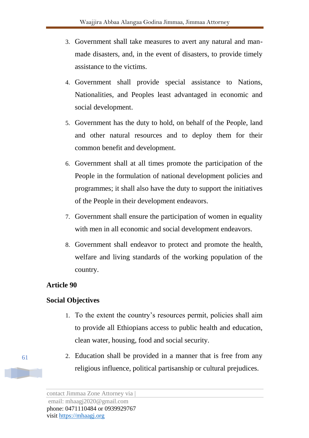- 3. Government shall take measures to avert any natural and manmade disasters, and, in the event of disasters, to provide timely assistance to the victims.
- 4. Government shall provide special assistance to Nations, Nationalities, and Peoples least advantaged in economic and social development.
- 5. Government has the duty to hold, on behalf of the People, land and other natural resources and to deploy them for their common benefit and development.
- 6. Government shall at all times promote the participation of the People in the formulation of national development policies and programmes; it shall also have the duty to support the initiatives of the People in their development endeavors.
- 7. Government shall ensure the participation of women in equality with men in all economic and social development endeavors.
- 8. Government shall endeavor to protect and promote the health, welfare and living standards of the working population of the country.

## **Social Objectives**

- 1. To the extent the country's resources permit, policies shall aim to provide all Ethiopians access to public health and education, clean water, housing, food and social security.
- 2. Education shall be provided in a manner that is free from any religious influence, political partisanship or cultural prejudices.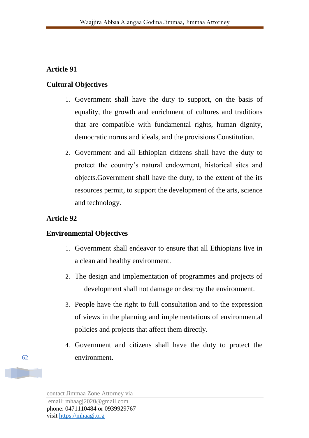### **Cultural Objectives**

- 1. Government shall have the duty to support, on the basis of equality, the growth and enrichment of cultures and traditions that are compatible with fundamental rights, human dignity, democratic norms and ideals, and the provisions Constitution.
- 2. Government and all Ethiopian citizens shall have the duty to protect the country's natural endowment, historical sites and objects.Government shall have the duty, to the extent of the its resources permit, to support the development of the arts, science and technology.

### **Article 92**

### **Environmental Objectives**

- 1. Government shall endeavor to ensure that all Ethiopians live in a clean and healthy environment.
- 2. The design and implementation of programmes and projects of development shall not damage or destroy the environment.
- 3. People have the right to full consultation and to the expression of views in the planning and implementations of environmental policies and projects that affect them directly.
- 4. Government and citizens shall have the duty to protect the environment.

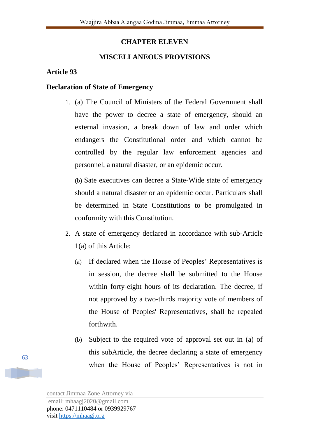## **CHAPTER ELEVEN**

## **MISCELLANEOUS PROVISIONS**

### **Article 93**

### **Declaration of State of Emergency**

1. (a) The Council of Ministers of the Federal Government shall have the power to decree a state of emergency, should an external invasion, a break down of law and order which endangers the Constitutional order and which cannot be controlled by the regular law enforcement agencies and personnel, a natural disaster, or an epidemic occur.

(b) Sate executives can decree a State-Wide state of emergency should a natural disaster or an epidemic occur. Particulars shall be determined in State Constitutions to be promulgated in conformity with this Constitution.

- 2. A state of emergency declared in accordance with sub-Article 1(a) of this Article:
	- (a) If declared when the House of Peoples' Representatives is in session, the decree shall be submitted to the House within forty-eight hours of its declaration. The decree, if not approved by a two-thirds majority vote of members of the House of Peoples' Representatives, shall be repealed forthwith.
	- (b) Subject to the required vote of approval set out in (a) of this subArticle, the decree declaring a state of emergency when the House of Peoples' Representatives is not in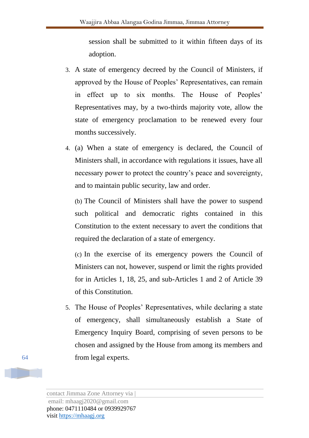session shall be submitted to it within fifteen days of its adoption.

- 3. A state of emergency decreed by the Council of Ministers, if approved by the House of Peoples' Representatives, can remain in effect up to six months. The House of Peoples' Representatives may, by a two-thirds majority vote, allow the state of emergency proclamation to be renewed every four months successively.
- 4. (a) When a state of emergency is declared, the Council of Ministers shall, in accordance with regulations it issues, have all necessary power to protect the country's peace and sovereignty, and to maintain public security, law and order.

(b) The Council of Ministers shall have the power to suspend such political and democratic rights contained in this Constitution to the extent necessary to avert the conditions that required the declaration of a state of emergency.

(c) In the exercise of its emergency powers the Council of Ministers can not, however, suspend or limit the rights provided for in Articles 1, 18, 25, and sub-Articles 1 and 2 of Article 39 of this Constitution.

5. The House of Peoples' Representatives, while declaring a state of emergency, shall simultaneously establish a State of Emergency Inquiry Board, comprising of seven persons to be chosen and assigned by the House from among its members and from legal experts.

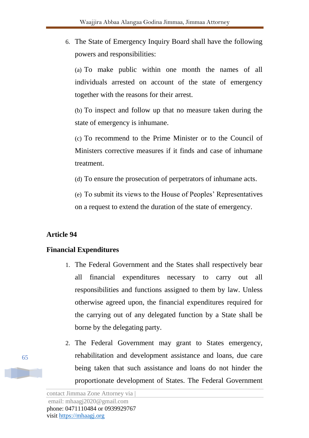6. The State of Emergency Inquiry Board shall have the following powers and responsibilities:

(a) To make public within one month the names of all individuals arrested on account of the state of emergency together with the reasons for their arrest.

(b) To inspect and follow up that no measure taken during the state of emergency is inhumane.

(c) To recommend to the Prime Minister or to the Council of Ministers corrective measures if it finds and case of inhumane treatment.

(d) To ensure the prosecution of perpetrators of inhumane acts.

(e) To submit its views to the House of Peoples' Representatives on a request to extend the duration of the state of emergency.

# **Article 94**

# **Financial Expenditures**

- 1. The Federal Government and the States shall respectively bear all financial expenditures necessary to carry out all responsibilities and functions assigned to them by law. Unless otherwise agreed upon, the financial expenditures required for the carrying out of any delegated function by a State shall be borne by the delegating party.
- 2. The Federal Government may grant to States emergency, rehabilitation and development assistance and loans, due care being taken that such assistance and loans do not hinder the proportionate development of States. The Federal Government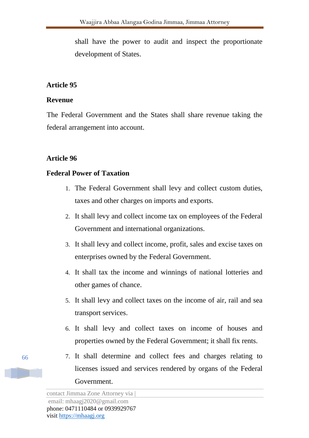shall have the power to audit and inspect the proportionate development of States.

# **Article 95**

## **Revenue**

The Federal Government and the States shall share revenue taking the federal arrangement into account.

# **Article 96**

# **Federal Power of Taxation**

- 1. The Federal Government shall levy and collect custom duties, taxes and other charges on imports and exports.
- 2. It shall levy and collect income tax on employees of the Federal Government and international organizations.
- 3. It shall levy and collect income, profit, sales and excise taxes on enterprises owned by the Federal Government.
- 4. It shall tax the income and winnings of national lotteries and other games of chance.
- 5. It shall levy and collect taxes on the income of air, rail and sea transport services.
- 6. It shall levy and collect taxes on income of houses and properties owned by the Federal Government; it shall fix rents.
- 7. It shall determine and collect fees and charges relating to licenses issued and services rendered by organs of the Federal Government.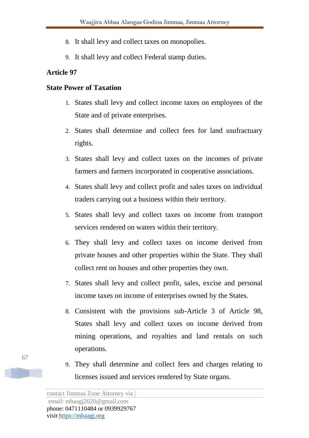- 8. It shall levy and collect taxes on monopolies.
- 9. It shall levy and collect Federal stamp duties.

# **State Power of Taxation**

- 1. States shall levy and collect income taxes on employees of the State and of private enterprises.
- 2. States shall determine and collect fees for land usufractuary rights.
- 3. States shall levy and collect taxes on the incomes of private farmers and farmers incorporated in cooperative associations.
- 4. States shall levy and collect profit and sales taxes on individual traders carrying out a business within their territory.
- 5. States shall levy and collect taxes on income from transport services rendered on waters within their territory.
- 6. They shall levy and collect taxes on income derived from private houses and other properties within the State. They shall collect rent on houses and other properties they own.
- 7. States shall levy and collect profit, sales, excise and personal income taxes on income of enterprises owned by the States.
- 8. Consistent with the provisions sub-Article 3 of Article 98, States shall levy and collect taxes on income derived from mining operations, and royalties and land rentals on such operations.
- 9. They shall determine and collect fees and charges relating to licenses issued and services rendered by State organs.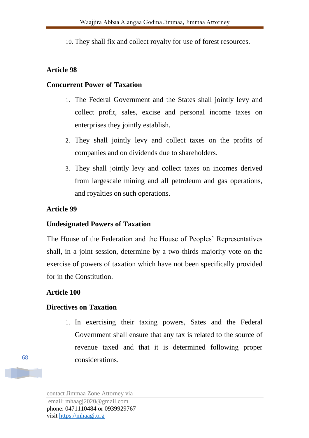10. They shall fix and collect royalty for use of forest resources.

## **Article 98**

## **Concurrent Power of Taxation**

- 1. The Federal Government and the States shall jointly levy and collect profit, sales, excise and personal income taxes on enterprises they jointly establish.
- 2. They shall jointly levy and collect taxes on the profits of companies and on dividends due to shareholders.
- 3. They shall jointly levy and collect taxes on incomes derived from largescale mining and all petroleum and gas operations, and royalties on such operations.

# **Article 99**

# **Undesignated Powers of Taxation**

The House of the Federation and the House of Peoples' Representatives shall, in a joint session, determine by a two-thirds majority vote on the exercise of powers of taxation which have not been specifically provided for in the Constitution.

# **Article 100**

# **Directives on Taxation**

1. In exercising their taxing powers, Sates and the Federal Government shall ensure that any tax is related to the source of revenue taxed and that it is determined following proper considerations.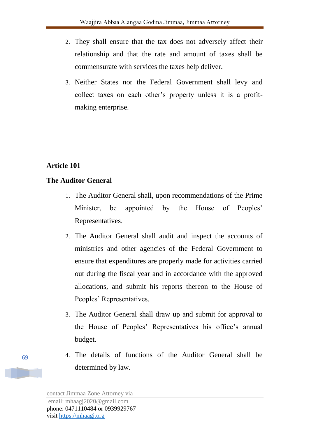- 2. They shall ensure that the tax does not adversely affect their relationship and that the rate and amount of taxes shall be commensurate with services the taxes help deliver.
- 3. Neither States nor the Federal Government shall levy and collect taxes on each other's property unless it is a profitmaking enterprise.

# **The Auditor General**

- 1. The Auditor General shall, upon recommendations of the Prime Minister, be appointed by the House of Peoples' Representatives.
- 2. The Auditor General shall audit and inspect the accounts of ministries and other agencies of the Federal Government to ensure that expenditures are properly made for activities carried out during the fiscal year and in accordance with the approved allocations, and submit his reports thereon to the House of Peoples' Representatives.
- 3. The Auditor General shall draw up and submit for approval to the House of Peoples' Representatives his office's annual budget.
- 4. The details of functions of the Auditor General shall be determined by law.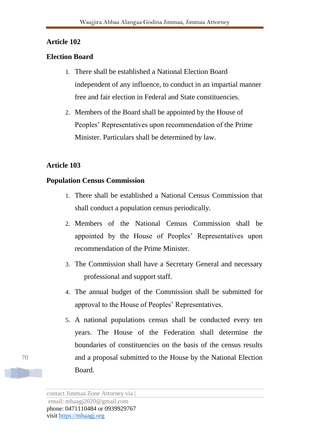## **Election Board**

- 1. There shall be established a National Election Board independent of any influence, to conduct in an impartial manner free and fair election in Federal and State constituencies.
- 2. Members of the Board shall be appointed by the House of Peoples' Representatives upon recommendation of the Prime Minister. Particulars shall be determined by law.

# **Article 103**

## **Population Census Commission**

- 1. There shall be established a National Census Commission that shall conduct a population census periodically.
- 2. Members of the National Census Commission shall be appointed by the House of Peoples' Representatives upon recommendation of the Prime Minister.
- 3. The Commission shall have a Secretary General and necessary professional and support staff.
- 4. The annual budget of the Commission shall be submitted for approval to the House of Peoples' Representatives.
- 5. A national populations census shall be conducted every ten years. The House of the Federation shall determine the boundaries of constituencies on the basis of the census results and a proposal submitted to the House by the National Election Board.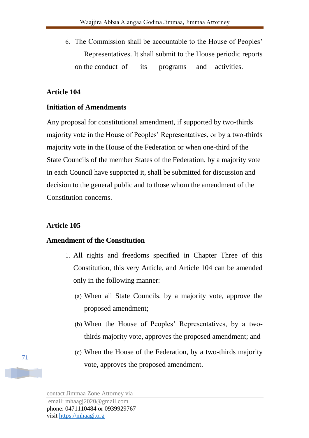6. The Commission shall be accountable to the House of Peoples' Representatives. It shall submit to the House periodic reports on the conduct of its programs and activities.

## **Article 104**

## **Initiation of Amendments**

Any proposal for constitutional amendment, if supported by two-thirds majority vote in the House of Peoples' Representatives, or by a two-thirds majority vote in the House of the Federation or when one-third of the State Councils of the member States of the Federation, by a majority vote in each Council have supported it, shall be submitted for discussion and decision to the general public and to those whom the amendment of the Constitution concerns.

## **Article 105**

### **Amendment of the Constitution**

- 1. All rights and freedoms specified in Chapter Three of this Constitution, this very Article, and Article 104 can be amended only in the following manner:
	- (a) When all State Councils, by a majority vote, approve the proposed amendment;
	- (b) When the House of Peoples' Representatives, by a twothirds majority vote, approves the proposed amendment; and
	- (c) When the House of the Federation, by a two-thirds majority vote, approves the proposed amendment.